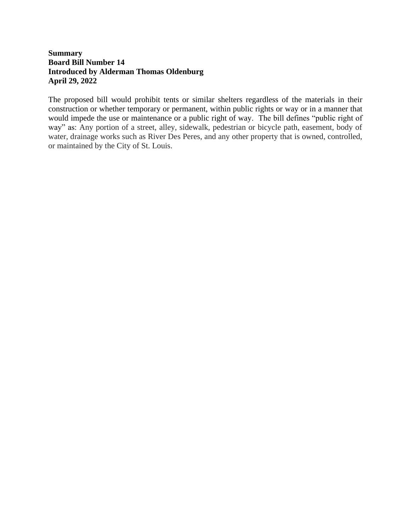## **Summary Board Bill Number 14 Introduced by Alderman Thomas Oldenburg April 29, 2022**

The proposed bill would prohibit tents or similar shelters regardless of the materials in their construction or whether temporary or permanent, within public rights or way or in a manner that would impede the use or maintenance or a public right of way. The bill defines "public right of way" as: Any portion of a street, alley, sidewalk, pedestrian or bicycle path, easement, body of water, drainage works such as River Des Peres, and any other property that is owned, controlled, or maintained by the City of St. Louis.